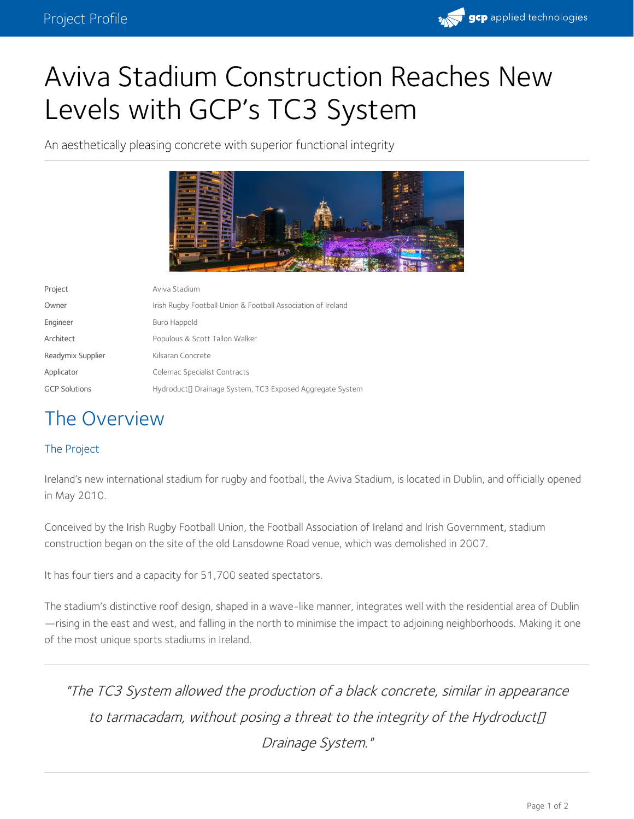

## Aviva Stadium Construction Reaches New Levels with GCP's TC3 System

An aesthetically pleasing concrete with superior functional integrity



| Project              | Aviva Stadium                                                |
|----------------------|--------------------------------------------------------------|
| Owner                | Irish Rugby Football Union & Football Association of Ireland |
| Engineer             | Buro Happold                                                 |
| Architect            | Populous & Scott Tallon Walker                               |
| Readymix Supplier    | Kilsaran Concrete                                            |
| Applicator           | Colemac Specialist Contracts                                 |
| <b>GCP Solutions</b> | Hydroduct□ Drainage System, TC3 Exposed Aggregate System     |

## The Overview

## The Project

Ireland's new international stadium for rugby and football, the Aviva Stadium, is located in Dublin, and officially opened in May 2010.

Conceived by the Irish Rugby Football Union, the Football Association of Ireland and Irish Government, stadium construction began on the site of the old Lansdowne Road venue, which was demolished in 2007.

It has four tiers and a capacity for 51,700 seated spectators.

The stadium's distinctive roof design, shaped in a wave-like manner, integrates well with the residential area of Dublin —rising in the east and west, and falling in the north to minimise the impact to adjoining neighborhoods. Making it one of the most unique sports stadiums in Ireland.

"The TC3 System allowed the production of <sup>a</sup> black concrete, similar in appearance to tarmacadam, without posing a threat to the integrity of the Hydroduct $\Pi$ Drainage System."